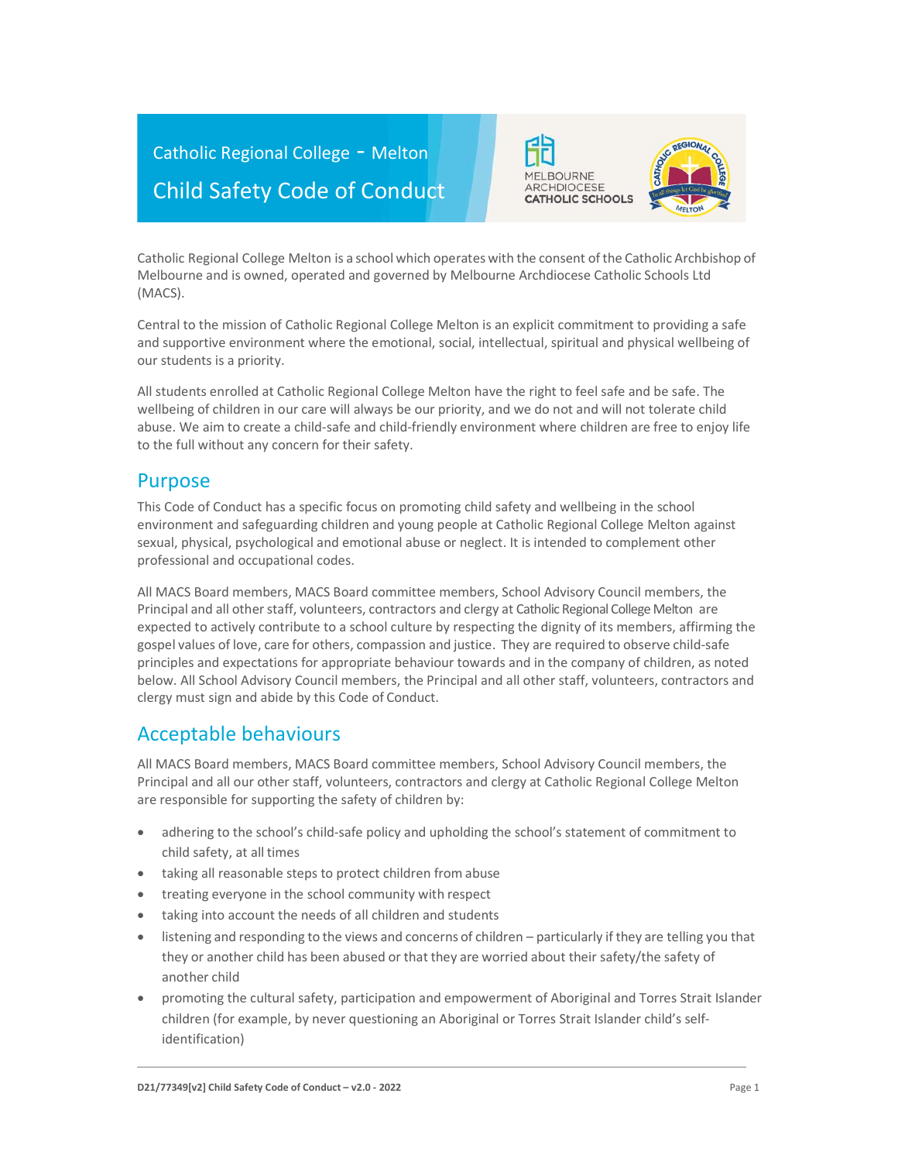



Catholic Regional College Melton is a school which operates with the consent of the Catholic Archbishop of Melbourne and is owned, operated and governed by Melbourne Archdiocese Catholic Schools Ltd (MACS).

Central to the mission of Catholic Regional College Melton is an explicit commitment to providing a safe and supportive environment where the emotional, social, intellectual, spiritual and physical wellbeing of our students is a priority.

All students enrolled at Catholic Regional College Melton have the right to feel safe and be safe. The wellbeing of children in our care will always be our priority, and we do not and will not tolerate child abuse. We aim to create a child-safe and child-friendly environment where children are free to enjoy life to the full without any concern for their safety.

### Purpose

This Code of Conduct has a specific focus on promoting child safety and wellbeing in the school environment and safeguarding children and young people at Catholic Regional College Melton against sexual, physical, psychological and emotional abuse or neglect. It is intended to complement other professional and occupational codes.

All MACS Board members, MACS Board committee members, School Advisory Council members, the Principal and all other staff, volunteers, contractors and clergy at Catholic Regional College Melton are expected to actively contribute to a school culture by respecting the dignity of its members, affirming the gospel values of love, care for others, compassion and justice. They are required to observe child-safe principles and expectations for appropriate behaviour towards and in the company of children, as noted below. All School Advisory Council members, the Principal and all other staff, volunteers, contractors and clergy must sign and abide by this Code of Conduct.

# Acceptable behaviours

All MACS Board members, MACS Board committee members, School Advisory Council members, the Principal and all our other staff, volunteers, contractors and clergy at Catholic Regional College Melton are responsible for supporting the safety of children by:

- adhering to the school's child-safe policy and upholding the school's statement of commitment to child safety, at all times
- taking all reasonable steps to protect children from abuse
- treating everyone in the school community with respect
- taking into account the needs of all children and students
- listening and responding to the views and concerns of children particularly if they are telling you that they or another child has been abused or that they are worried about their safety/the safety of another child
- promoting the cultural safety, participation and empowerment of Aboriginal and Torres Strait Islander children (for example, by never questioning an Aboriginal or Torres Strait Islander child's selfidentification)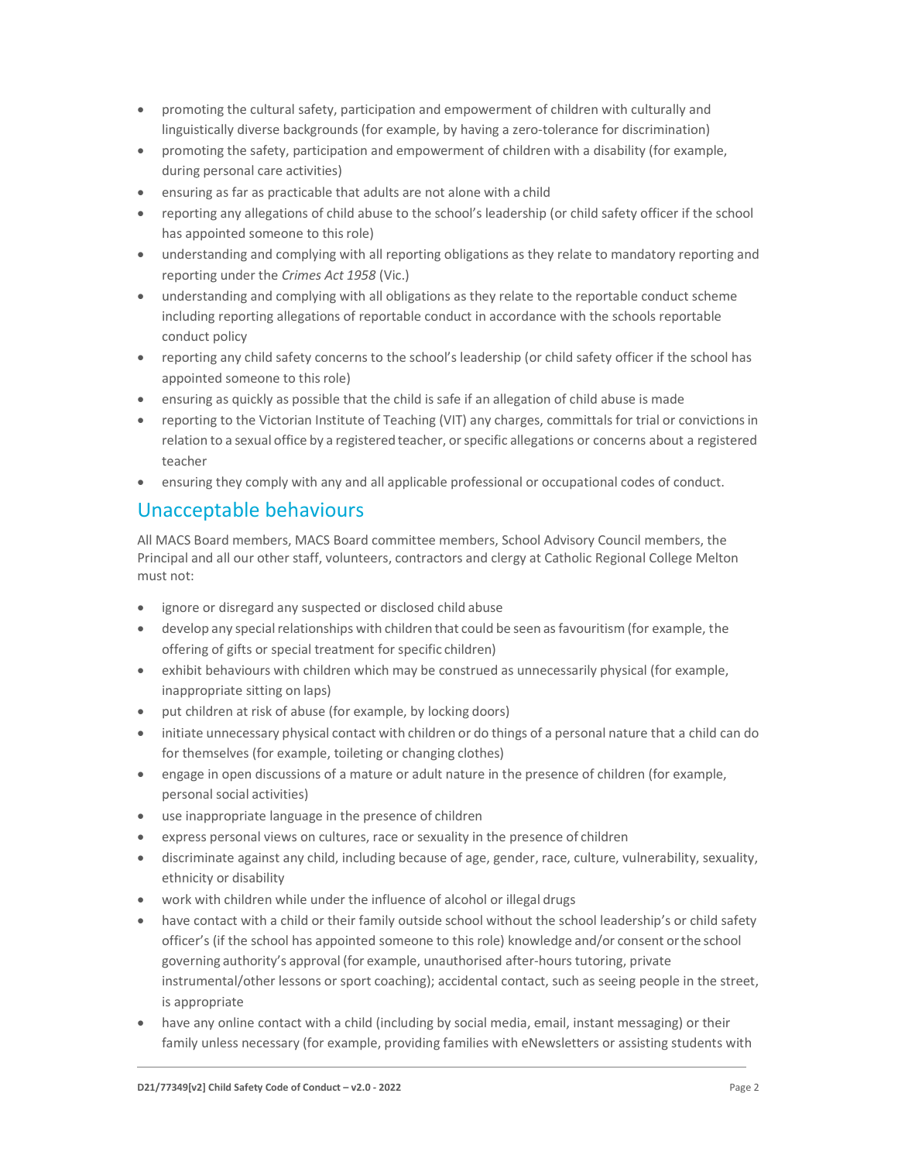- promoting the cultural safety, participation and empowerment of children with culturally and linguistically diverse backgrounds (for example, by having a zero-tolerance for discrimination)
- promoting the safety, participation and empowerment of children with a disability (for example, during personal care activities)
- ensuring as far as practicable that adults are not alone with a child
- reporting any allegations of child abuse to the school's leadership (or child safety officer if the school has appointed someone to this role)
- understanding and complying with all reporting obligations as they relate to mandatory reporting and reporting under the Crimes Act 1958 (Vic.)
- understanding and complying with all obligations as they relate to the reportable conduct scheme including reporting allegations of reportable conduct in accordance with the schools reportable conduct policy
- reporting any child safety concerns to the school's leadership (or child safety officer if the school has appointed someone to this role)
- ensuring as quickly as possible that the child is safe if an allegation of child abuse is made
- reporting to the Victorian Institute of Teaching (VIT) any charges, committals for trial or convictions in relation to a sexual office by a registered teacher, or specific allegations or concerns about a registered teacher
- ensuring they comply with any and all applicable professional or occupational codes of conduct.

## Unacceptable behaviours

All MACS Board members, MACS Board committee members, School Advisory Council members, the Principal and all our other staff, volunteers, contractors and clergy at Catholic Regional College Melton must not:

- ignore or disregard any suspected or disclosed child abuse
- develop any special relationships with children that could be seen as favouritism (for example, the offering of gifts or special treatment for specific children)
- exhibit behaviours with children which may be construed as unnecessarily physical (for example, inappropriate sitting on laps)
- put children at risk of abuse (for example, by locking doors)
- initiate unnecessary physical contact with children or do things of a personal nature that a child can do for themselves (for example, toileting or changing clothes)
- engage in open discussions of a mature or adult nature in the presence of children (for example, personal social activities)
- use inappropriate language in the presence of children
- express personal views on cultures, race or sexuality in the presence of children
- discriminate against any child, including because of age, gender, race, culture, vulnerability, sexuality, ethnicity or disability
- work with children while under the influence of alcohol or illegal drugs
- have contact with a child or their family outside school without the school leadership's or child safety officer's (if the school has appointed someone to this role) knowledge and/or consent or the school governing authority's approval (for example, unauthorised after-hours tutoring, private instrumental/other lessons or sport coaching); accidental contact, such as seeing people in the street, is appropriate
- have any online contact with a child (including by social media, email, instant messaging) or their family unless necessary (for example, providing families with eNewsletters or assisting students with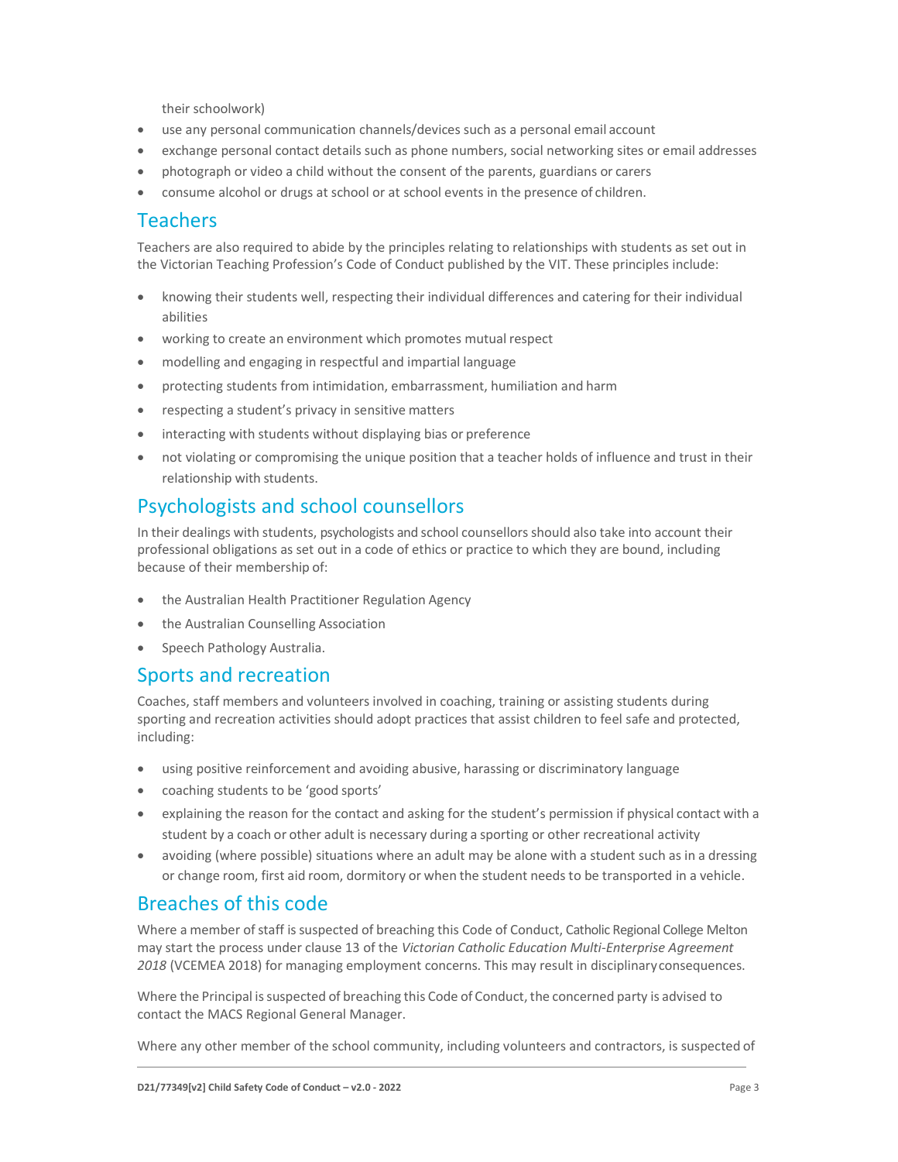their schoolwork)

- use any personal communication channels/devices such as a personal email account
- exchange personal contact details such as phone numbers, social networking sites or email addresses
- photograph or video a child without the consent of the parents, guardians or carers
- consume alcohol or drugs at school or at school events in the presence of children.

#### Teachers

Teachers are also required to abide by the principles relating to relationships with students as set out in the Victorian Teaching Profession's Code of Conduct published by the VIT. These principles include:

- knowing their students well, respecting their individual differences and catering for their individual abilities
- working to create an environment which promotes mutual respect
- modelling and engaging in respectful and impartial language
- protecting students from intimidation, embarrassment, humiliation and harm
- respecting a student's privacy in sensitive matters
- interacting with students without displaying bias or preference
- not violating or compromising the unique position that a teacher holds of influence and trust in their relationship with students.

## Psychologists and school counsellors

In their dealings with students, psychologists and school counsellors should also take into account their professional obligations as set out in a code of ethics or practice to which they are bound, including because of their membership of:

- the Australian Health Practitioner Regulation Agency
- the Australian Counselling Association
- Speech Pathology Australia.

#### Sports and recreation

Coaches, staff members and volunteers involved in coaching, training or assisting students during sporting and recreation activities should adopt practices that assist children to feel safe and protected, including:

- using positive reinforcement and avoiding abusive, harassing or discriminatory language
- coaching students to be 'good sports'
- explaining the reason for the contact and asking for the student's permission if physical contact with a student by a coach or other adult is necessary during a sporting or other recreational activity
- avoiding (where possible) situations where an adult may be alone with a student such as in a dressing or change room, first aid room, dormitory or when the student needs to be transported in a vehicle.

### Breaches of this code

Where a member of staff is suspected of breaching this Code of Conduct, Catholic Regional College Melton may start the process under clause 13 of the Victorian Catholic Education Multi-Enterprise Agreement 2018 (VCEMEA 2018) for managing employment concerns. This may result in disciplinary consequences.

Where the Principal is suspected of breaching this Code of Conduct, the concerned party is advised to contact the MACS Regional General Manager.

Where any other member of the school community, including volunteers and contractors, is suspected of